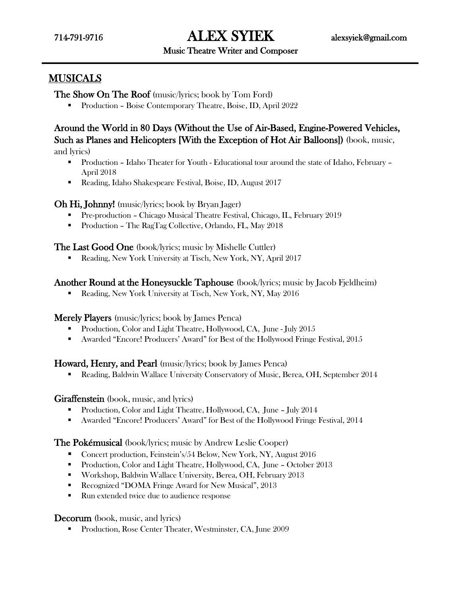714-791-9716 ALEX SYIEK [alexsyiek@gmail.com](mailto:alexsyiek@gmail.com) 

#### Music Theatre Writer and Composer

## MUSICALS

The Show On The Roof (music/lyrics; book by Tom Ford)

**Production – Boise Contemporary Theatre, Boise, ID, April 2022** 

## Around the World in 80 Days (Without the Use of Air-Based, Engine-Powered Vehicles, Such as Planes and Helicopters [With the Exception of Hot Air Balloons]) (book, music, and lyrics)

- Production Idaho Theater for Youth Educational tour around the state of Idaho, February April 2018
- Reading, Idaho Shakespeare Festival, Boise, ID, August 2017

### Oh Hi, Johnny! (music/lyrics; book by Bryan Jager)

- Pre-production Chicago Musical Theatre Festival, Chicago, IL, February 2019
- Production The RagTag Collective, Orlando, FL, May 2018

The Last Good One (book/lyrics; music by Mishelle Cuttler)

Reading, New York University at Tisch, New York, NY, April 2017

### Another Round at the Honeysuckle Taphouse (book/lyrics; music by Jacob Fjeldheim)

Reading, New York University at Tisch, New York, NY, May 2016

Merely Players (music/lyrics; book by James Penca)

- Production, Color and Light Theatre, Hollywood, CA, June July 2015
- Awarded "Encore! Producers' Award" for Best of the Hollywood Fringe Festival, 2015

### Howard, Henry, and Pearl (music/lyrics; book by James Penca)

Reading, Baldwin Wallace University Conservatory of Music, Berea, OH, September 2014

### Giraffenstein (book, music, and lyrics)

- **Production, Color and Light Theatre, Hollywood, CA, June July 2014**
- Awarded "Encore! Producers' Award" for Best of the Hollywood Fringe Festival, 2014

### The Pokémusical (book/lyrics; music by Andrew Leslie Cooper)

- Concert production, Feinstein's/54 Below, New York, NY, August 2016
- Production, Color and Light Theatre, Hollywood, CA, June October 2013
- Workshop, Baldwin Wallace University, Berea, OH, February 2013
- Recognized "DOMA Fringe Award for New Musical", 2013
- Run extended twice due to audience response

### Decorum (book, music, and lyrics)

**Production, Rose Center Theater, Westminster, CA, June 2009**